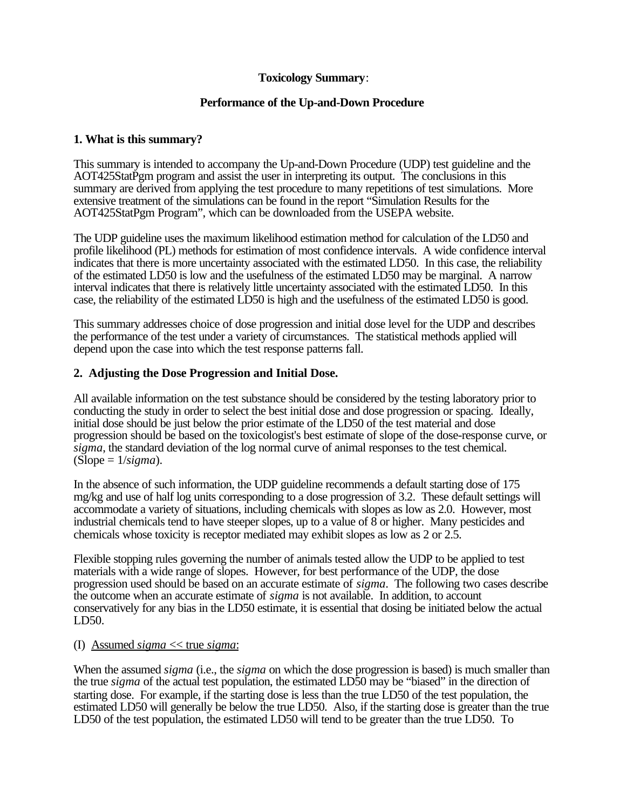# **Toxicology Summary**:

# **Performance of the Up-and-Down Procedure**

# **1. What is this summary?**

This summary is intended to accompany the Up-and-Down Procedure (UDP) test guideline and the AOT425StatPgm program and assist the user in interpreting its output. The conclusions in this summary are derived from applying the test procedure to many repetitions of test simulations. More extensive treatment of the simulations can be found in the report "Simulation Results for the AOT425StatPgm Program", which can be downloaded from the USEPA website.

The UDP guideline uses the maximum likelihood estimation method for calculation of the LD50 and profile likelihood (PL) methods for estimation of most confidence intervals. A wide confidence interval indicates that there is more uncertainty associated with the estimated LD50. In this case, the reliability of the estimated LD50 is low and the usefulness of the estimated LD50 may be marginal. A narrow interval indicates that there is relatively little uncertainty associated with the estimated LD50. In this case, the reliability of the estimated LD50 is high and the usefulness of the estimated LD50 is good.

This summary addresses choice of dose progression and initial dose level for the UDP and describes the performance of the test under a variety of circumstances. The statistical methods applied will depend upon the case into which the test response patterns fall.

# **2. Adjusting the Dose Progression and Initial Dose.**

All available information on the test substance should be considered by the testing laboratory prior to conducting the study in order to select the best initial dose and dose progression or spacing. Ideally, initial dose should be just below the prior estimate of the LD50 of the test material and dose progression should be based on the toxicologist's best estimate of slope of the dose-response curve, or *sigma*, the standard deviation of the log normal curve of animal responses to the test chemical.  $(Slope = 1/sigma)$ .

In the absence of such information, the UDP guideline recommends a default starting dose of 175 mg/kg and use of half log units corresponding to a dose progression of 3.2. These default settings will accommodate a variety of situations, including chemicals with slopes as low as 2.0. However, most industrial chemicals tend to have steeper slopes, up to a value of 8 or higher. Many pesticides and chemicals whose toxicity is receptor mediated may exhibit slopes as low as 2 or 2.5.

Flexible stopping rules governing the number of animals tested allow the UDP to be applied to test materials with a wide range of slopes. However, for best performance of the UDP, the dose progression used should be based on an accurate estimate of *sigma*. The following two cases describe the outcome when an accurate estimate of *sigma* is not available. In addition, to account conservatively for any bias in the LD50 estimate, it is essential that dosing be initiated below the actual LD50.

# (I) Assumed *sigma* << true *sigma*:

When the assumed *sigma* (i.e., the *sigma* on which the dose progression is based) is much smaller than the true *sigma* of the actual test population, the estimated LD50 may be "biased" in the direction of starting dose. For example, if the starting dose is less than the true LD50 of the test population, the estimated LD50 will generally be below the true LD50. Also, if the starting dose is greater than the true LD50 of the test population, the estimated LD50 will tend to be greater than the true LD50. To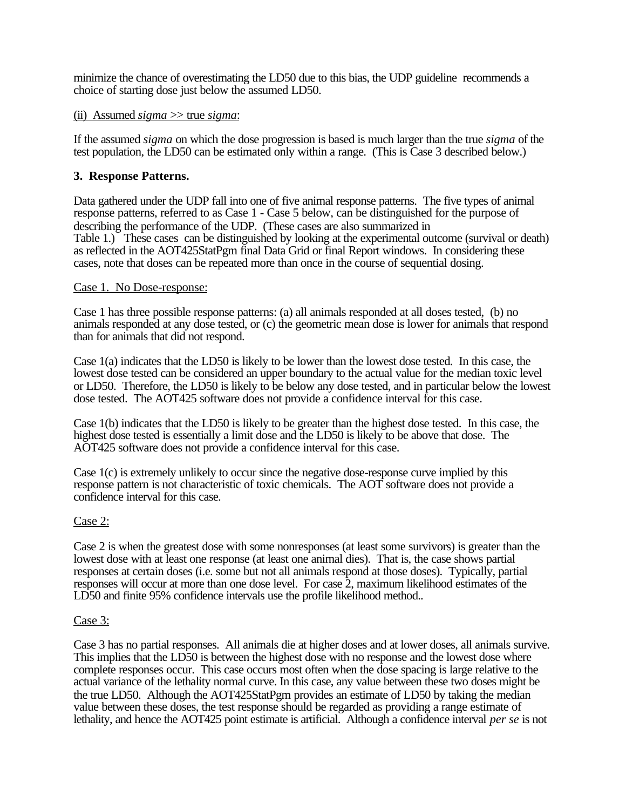minimize the chance of overestimating the LD50 due to this bias, the UDP guideline recommends a choice of starting dose just below the assumed LD50.

### (ii) Assumed *sigma* >> true *sigma*:

If the assumed *sigma* on which the dose progression is based is much larger than the true *sigma* of the test population, the LD50 can be estimated only within a range. (This is Case 3 described below.)

### **3. Response Patterns.**

Data gathered under the UDP fall into one of five animal response patterns. The five types of animal response patterns, referred to as Case 1 - Case 5 below, can be distinguished for the purpose of describing the performance of the UDP. (These cases are also summarized in Table 1.) These cases can be distinguished by looking at the experimental outcome (survival or death) as reflected in the AOT425StatPgm final Data Grid or final Report windows. In considering these cases, note that doses can be repeated more than once in the course of sequential dosing.

#### Case 1. No Dose-response:

Case 1 has three possible response patterns: (a) all animals responded at all doses tested, (b) no animals responded at any dose tested, or (c) the geometric mean dose is lower for animals that respond than for animals that did not respond.

Case 1(a) indicates that the LD50 is likely to be lower than the lowest dose tested. In this case, the lowest dose tested can be considered an upper boundary to the actual value for the median toxic level or LD50. Therefore, the LD50 is likely to be below any dose tested, and in particular below the lowest dose tested. The AOT425 software does not provide a confidence interval for this case.

Case 1(b) indicates that the LD50 is likely to be greater than the highest dose tested. In this case, the highest dose tested is essentially a limit dose and the LD50 is likely to be above that dose. The AOT425 software does not provide a confidence interval for this case.

Case 1(c) is extremely unlikely to occur since the negative dose-response curve implied by this response pattern is not characteristic of toxic chemicals. The AOT software does not provide a confidence interval for this case.

### Case 2:

Case 2 is when the greatest dose with some nonresponses (at least some survivors) is greater than the lowest dose with at least one response (at least one animal dies). That is, the case shows partial responses at certain doses (i.e. some but not all animals respond at those doses). Typically, partial responses will occur at more than one dose level. For case 2, maximum likelihood estimates of the LD50 and finite 95% confidence intervals use the profile likelihood method..

#### Case 3:

Case 3 has no partial responses. All animals die at higher doses and at lower doses, all animals survive. This implies that the LD50 is between the highest dose with no response and the lowest dose where complete responses occur. This case occurs most often when the dose spacing is large relative to the actual variance of the lethality normal curve. In this case, any value between these two doses might be the true LD50. Although the AOT425StatPgm provides an estimate of LD50 by taking the median value between these doses, the test response should be regarded as providing a range estimate of lethality, and hence the AOT425 point estimate is artificial. Although a confidence interval *per se* is not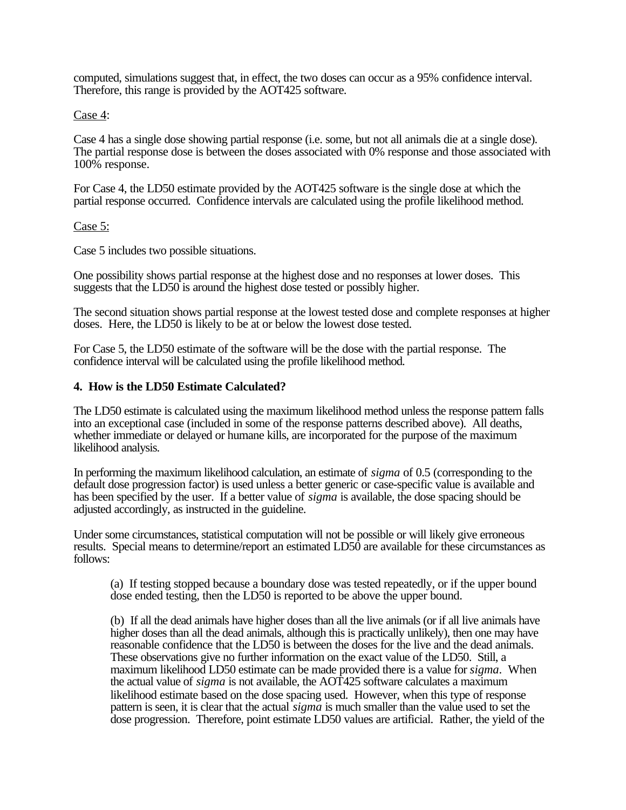computed, simulations suggest that, in effect, the two doses can occur as a 95% confidence interval. Therefore, this range is provided by the AOT425 software.

Case 4:

Case 4 has a single dose showing partial response (i.e. some, but not all animals die at a single dose). The partial response dose is between the doses associated with 0% response and those associated with 100% response.

For Case 4, the LD50 estimate provided by the AOT425 software is the single dose at which the partial response occurred. Confidence intervals are calculated using the profile likelihood method.

## Case 5:

Case 5 includes two possible situations.

One possibility shows partial response at the highest dose and no responses at lower doses. This suggests that the LD50 is around the highest dose tested or possibly higher.

The second situation shows partial response at the lowest tested dose and complete responses at higher doses. Here, the LD50 is likely to be at or below the lowest dose tested.

For Case 5, the LD50 estimate of the software will be the dose with the partial response. The confidence interval will be calculated using the profile likelihood method.

### **4. How is the LD50 Estimate Calculated?**

The LD50 estimate is calculated using the maximum likelihood method unless the response pattern falls into an exceptional case (included in some of the response patterns described above). All deaths, whether immediate or delayed or humane kills, are incorporated for the purpose of the maximum likelihood analysis.

In performing the maximum likelihood calculation, an estimate of *sigma* of 0.5 (corresponding to the default dose progression factor) is used unless a better generic or case-specific value is available and has been specified by the user. If a better value of *sigma* is available, the dose spacing should be adjusted accordingly, as instructed in the guideline.

Under some circumstances, statistical computation will not be possible or will likely give erroneous results. Special means to determine/report an estimated LD50 are available for these circumstances as follows:

(a) If testing stopped because a boundary dose was tested repeatedly, or if the upper bound dose ended testing, then the LD50 is reported to be above the upper bound.

 (b) If all the dead animals have higher doses than all the live animals (or if all live animals have higher doses than all the dead animals, although this is practically unlikely), then one may have reasonable confidence that the LD50 is between the doses for the live and the dead animals. These observations give no further information on the exact value of the LD50. Still, a maximum likelihood LD50 estimate can be made provided there is a value for *sigma*. When the actual value of *sigma* is not available, the AOT425 software calculates a maximum likelihood estimate based on the dose spacing used. However, when this type of response pattern is seen, it is clear that the actual *sigma* is much smaller than the value used to set the dose progression. Therefore, point estimate LD50 values are artificial. Rather, the yield of the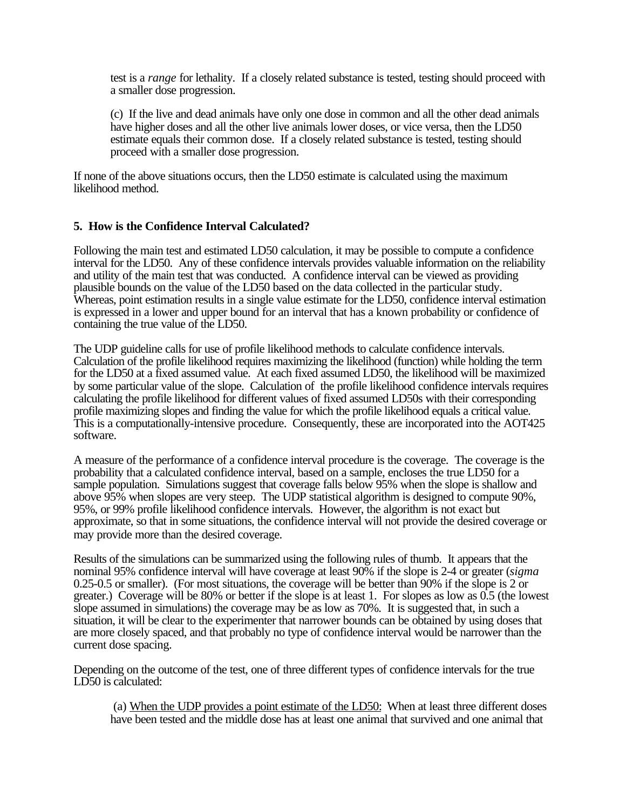test is a *range* for lethality. If a closely related substance is tested, testing should proceed with a smaller dose progression.

(c) If the live and dead animals have only one dose in common and all the other dead animals have higher doses and all the other live animals lower doses, or vice versa, then the LD50 estimate equals their common dose. If a closely related substance is tested, testing should proceed with a smaller dose progression.

If none of the above situations occurs, then the LD50 estimate is calculated using the maximum likelihood method.

### **5. How is the Confidence Interval Calculated?**

Following the main test and estimated LD50 calculation, it may be possible to compute a confidence interval for the LD50. Any of these confidence intervals provides valuable information on the reliability and utility of the main test that was conducted. A confidence interval can be viewed as providing plausible bounds on the value of the LD50 based on the data collected in the particular study. Whereas, point estimation results in a single value estimate for the LD50, confidence interval estimation is expressed in a lower and upper bound for an interval that has a known probability or confidence of containing the true value of the LD50.

The UDP guideline calls for use of profile likelihood methods to calculate confidence intervals. Calculation of the profile likelihood requires maximizing the likelihood (function) while holding the term for the LD50 at a fixed assumed value. At each fixed assumed LD50, the likelihood will be maximized by some particular value of the slope. Calculation of the profile likelihood confidence intervals requires calculating the profile likelihood for different values of fixed assumed LD50s with their corresponding profile maximizing slopes and finding the value for which the profile likelihood equals a critical value. This is a computationally-intensive procedure. Consequently, these are incorporated into the AOT425 software.

A measure of the performance of a confidence interval procedure is the coverage. The coverage is the probability that a calculated confidence interval, based on a sample, encloses the true LD50 for a sample population. Simulations suggest that coverage falls below 95% when the slope is shallow and above 95% when slopes are very steep. The UDP statistical algorithm is designed to compute 90%, 95%, or 99% profile likelihood confidence intervals. However, the algorithm is not exact but approximate, so that in some situations, the confidence interval will not provide the desired coverage or may provide more than the desired coverage.

Results of the simulations can be summarized using the following rules of thumb. It appears that the nominal 95% confidence interval will have coverage at least 90% if the slope is 2-4 or greater (*sigma*  0.25-0.5 or smaller). (For most situations, the coverage will be better than 90% if the slope is 2 or greater.) Coverage will be 80% or better if the slope is at least 1. For slopes as low as 0.5 (the lowest slope assumed in simulations) the coverage may be as low as 70%. It is suggested that, in such a situation, it will be clear to the experimenter that narrower bounds can be obtained by using doses that are more closely spaced, and that probably no type of confidence interval would be narrower than the current dose spacing.

Depending on the outcome of the test, one of three different types of confidence intervals for the true LD50 is calculated:

(a) When the UDP provides a point estimate of the LD50: When at least three different doses have been tested and the middle dose has at least one animal that survived and one animal that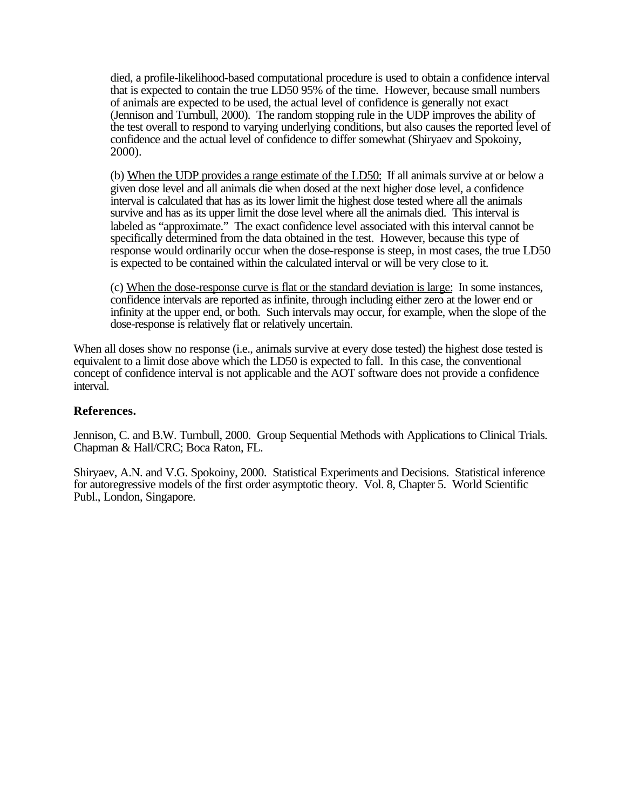died, a profile-likelihood-based computational procedure is used to obtain a confidence interval that is expected to contain the true LD50 95% of the time. However, because small numbers of animals are expected to be used, the actual level of confidence is generally not exact (Jennison and Turnbull, 2000). The random stopping rule in the UDP improves the ability of the test overall to respond to varying underlying conditions, but also causes the reported level of confidence and the actual level of confidence to differ somewhat (Shiryaev and Spokoiny, 2000).

(b) When the UDP provides a range estimate of the LD50: If all animals survive at or below a given dose level and all animals die when dosed at the next higher dose level, a confidence interval is calculated that has as its lower limit the highest dose tested where all the animals survive and has as its upper limit the dose level where all the animals died. This interval is labeled as "approximate." The exact confidence level associated with this interval cannot be specifically determined from the data obtained in the test. However, because this type of response would ordinarily occur when the dose-response is steep, in most cases, the true LD50 is expected to be contained within the calculated interval or will be very close to it.

(c) When the dose-response curve is flat or the standard deviation is large: In some instances, confidence intervals are reported as infinite, through including either zero at the lower end or infinity at the upper end, or both. Such intervals may occur, for example, when the slope of the dose-response is relatively flat or relatively uncertain.

When all doses show no response (i.e., animals survive at every dose tested) the highest dose tested is equivalent to a limit dose above which the LD50 is expected to fall. In this case, the conventional concept of confidence interval is not applicable and the AOT software does not provide a confidence interval.

## **References.**

Jennison, C. and B.W. Turnbull, 2000. Group Sequential Methods with Applications to Clinical Trials. Chapman & Hall/CRC; Boca Raton, FL.

Shiryaev, A.N. and V.G. Spokoiny, 2000. Statistical Experiments and Decisions. Statistical inference for autoregressive models of the first order asymptotic theory. Vol. 8, Chapter 5. World Scientific Publ., London, Singapore.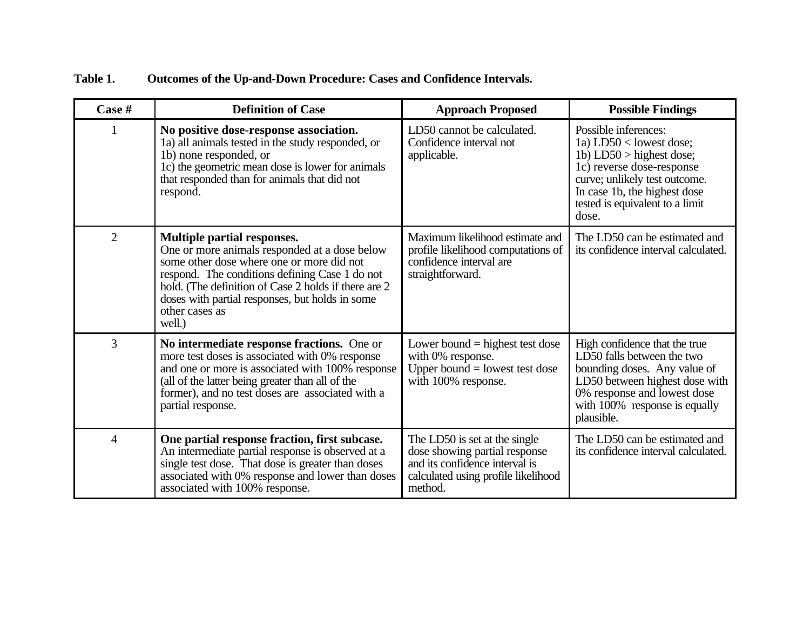| Table 1. | <b>Outcomes of the Up-and-Down Procedure: Cases and Confidence Intervals.</b> |
|----------|-------------------------------------------------------------------------------|
|          |                                                                               |

| Case #         | <b>Definition of Case</b>                                                                                                                                                                                                                                                                                                 | <b>Approach Proposed</b>                                                                                                                           | <b>Possible Findings</b>                                                                                                                                                                                                  |
|----------------|---------------------------------------------------------------------------------------------------------------------------------------------------------------------------------------------------------------------------------------------------------------------------------------------------------------------------|----------------------------------------------------------------------------------------------------------------------------------------------------|---------------------------------------------------------------------------------------------------------------------------------------------------------------------------------------------------------------------------|
| 1              | No positive dose-response association.<br>1a) all animals tested in the study responded, or<br>1b) none responded, or<br>1c) the geometric mean dose is lower for animals<br>that responded than for animals that did not<br>respond.                                                                                     | LD50 cannot be calculated.<br>Confidence interval not<br>applicable.                                                                               | Possible inferences:<br>1a) $LD50 <$ lowest dose;<br>1b) $LD50 >$ highest dose;<br>1c) reverse dose-response<br>curve; unlikely test outcome.<br>In case 1b, the highest dose<br>tested is equivalent to a limit<br>dose. |
| $\overline{2}$ | <b>Multiple partial responses.</b><br>One or more animals responded at a dose below<br>some other dose where one or more did not<br>respond. The conditions defining Case 1 do not<br>hold. (The definition of Case 2 holds if there are 2<br>doses with partial responses, but holds in some<br>other cases as<br>well.) | Maximum likelihood estimate and<br>profile likelihood computations of<br>confidence interval are<br>straightforward.                               | The LD50 can be estimated and<br>its confidence interval calculated.                                                                                                                                                      |
| $\overline{3}$ | No intermediate response fractions. One or<br>more test doses is associated with 0% response<br>and one or more is associated with 100% response<br>(all of the latter being greater than all of the<br>former), and no test doses are associated with a<br>partial response.                                             | Lower bound $=$ highest test dose<br>with 0% response.<br>Upper bound $=$ lowest test dose<br>with 100% response.                                  | High confidence that the true<br>LD50 falls between the two<br>bounding doses. Any value of<br>LD50 between highest dose with<br>0% response and lowest dose<br>with $100\%$ response is equally<br>plausible.            |
| $\overline{4}$ | One partial response fraction, first subcase.<br>An intermediate partial response is observed at a<br>single test dose. That dose is greater than doses<br>associated with 0% response and lower than doses<br>associated with 100% response.                                                                             | The LD50 is set at the single<br>dose showing partial response<br>and its confidence interval is<br>calculated using profile likelihood<br>method. | The LD50 can be estimated and<br>its confidence interval calculated.                                                                                                                                                      |